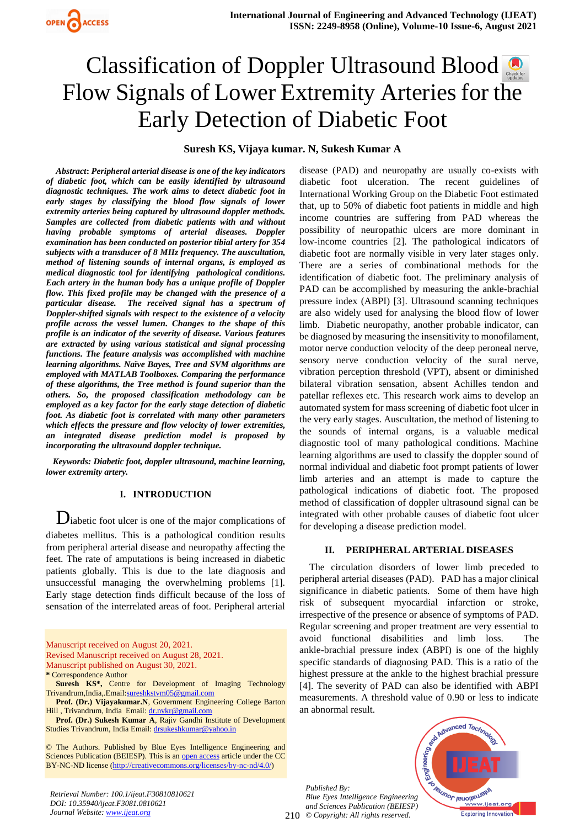

# Classificationof Doppler Ultrasound Blood Flow Signals of Lower Extremity Arteries for the Early Detection of Diabetic Foot

## **Suresh KS, Vijaya kumar. N, Sukesh Kumar A**

*Abstract***:** *Peripheral arterial disease is one of the key indicators of diabetic foot, which can be easily identified by ultrasound diagnostic techniques. The work aims to detect diabetic foot in early stages by classifying the blood flow signals of lower extremity arteries being captured by ultrasound doppler methods. Samples are collected from diabetic patients with and without having probable symptoms of arterial diseases. Doppler examination has been conducted on posterior tibial artery for 354 subjects with a transducer of 8 MHz frequency. The auscultation, method of listening sounds of internal organs, is employed as medical diagnostic tool for identifying pathological conditions. Each artery in the human body has a unique profile of Doppler flow. This fixed profile may be changed with the presence of a particular disease. The received signal has a spectrum of Doppler-shifted signals with respect to the existence of a velocity profile across the vessel lumen. Changes to the shape of this profile is an indicator of the severity of disease. Various features are extracted by using various statistical and signal processing functions. The feature analysis was accomplished with machine learning algorithms. Naïve Bayes, Tree and SVM algorithms are employed with MATLAB Toolboxes. Comparing the performance of these algorithms, the Tree method is found superior than the others. So, the proposed classification methodology can be employed as a key factor for the early stage detection of diabetic foot. As diabetic foot is correlated with many other parameters which effects the pressure and flow velocity of lower extremities, an integrated disease prediction model is proposed by incorporating the ultrasound doppler technique.*

*Keywords: Diabetic foot, doppler ultrasound, machine learning, lower extremity artery.*

# **I. INTRODUCTION**

Diabetic foot ulcer is one of the major complications of diabetes mellitus. This is a pathological condition results from peripheral arterial disease and neuropathy affecting the feet. The rate of amputations is being increased in diabetic patients globally. This is due to the late diagnosis and unsuccessful managing the overwhelming problems [1]. Early stage detection finds difficult because of the loss of sensation of the interrelated areas of foot. Peripheral arterial

Manuscript received on August 20, 2021. Revised Manuscript received on August 28, 2021. Manuscript published on August 30, 2021. **\*** Correspondence Author

**Suresh KS\*,** Centre for Development of Imaging Technology Trivandrum,India,.Email:sureshkstvm05@gmail.com

**Prof. (Dr.) Vijayakumar.N**, Government Engineering College Barton Hill, Trivandrum, India Email: dr.nvkr@gmail.com

**Prof. (Dr.) Sukesh Kumar A**, Rajiv Gandhi Institute of Development Studies Trivandrum, India Email: drsukeshkumar@yahoo.in

© The Authors. Published by Blue Eyes Intelligence Engineering and Sciences Publication (BEIESP). This is an [open access](https://www.openaccess.nl/en/open-publications) article under the CC BY-NC-ND license [\(http://creativecommons.org/licenses/by-nc-nd/4.0/\)](http://creativecommons.org/licenses/by-nc-nd/4.0/)

*Retrieval Number: 100.1/ijeat.F30810810621 DOI: 10.35940/ijeat.F3081.0810621 Journal Website: [www.ijeat.org](http://www.ijeat.org/)* 

disease (PAD) and neuropathy are usually co-exists with diabetic foot ulceration. The recent guidelines of International Working Group on the Diabetic Foot estimated that, up to 50% of diabetic foot patients in middle and high income countries are suffering from PAD whereas the possibility of neuropathic ulcers are more dominant in low-income countries [2]. The pathological indicators of diabetic foot are normally visible in very later stages only. There are a series of combinational methods for the identification of diabetic foot. The preliminary analysis of PAD can be accomplished by measuring the ankle-brachial pressure index (ABPI) [3]. Ultrasound scanning techniques are also widely used for analysing the blood flow of lower limb. Diabetic neuropathy, another probable indicator, can be diagnosed by measuring the insensitivity to monofilament, motor nerve conduction velocity of the deep peroneal nerve, sensory nerve conduction velocity of the sural nerve, vibration perception threshold (VPT), absent or diminished bilateral vibration sensation, absent Achilles tendon and patellar reflexes etc. This research work aims to develop an automated system for mass screening of diabetic foot ulcer in the very early stages. Auscultation, the method of listening to the sounds of internal organs, is a valuable medical diagnostic tool of many pathological conditions. Machine learning algorithms are used to classify the doppler sound of normal individual and diabetic foot prompt patients of lower limb arteries and an attempt is made to capture the pathological indications of diabetic foot. The proposed method of classification of doppler ultrasound signal can be integrated with other probable causes of diabetic foot ulcer for developing a disease prediction model.

#### **II. PERIPHERAL ARTERIAL DISEASES**

The circulation disorders of lower limb preceded to peripheral arterial diseases (PAD). PAD has a major clinical significance in diabetic patients. Some of them have high risk of subsequent myocardial infarction or stroke, irrespective of the presence or absence of symptoms of PAD. Regular screening and proper treatment are very essential to avoid functional disabilities and limb loss. The ankle-brachial pressure index (ABPI) is one of the highly specific standards of diagnosing PAD. This is a ratio of the highest pressure at the ankle to the highest brachial pressure [4]. The severity of PAD can also be identified with ABPI measurements. A threshold value of 0.90 or less to indicate an abnormal result.

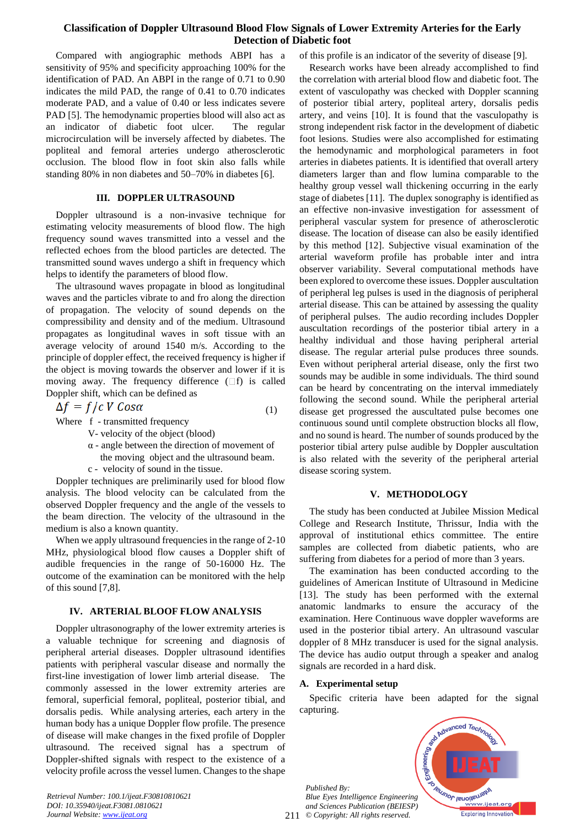# **Classification of Doppler Ultrasound Blood Flow Signals of Lower Extremity Arteries for the Early Detection of Diabetic foot**

Compared with angiographic methods ABPI has a sensitivity of 95% and specificity approaching 100% for the identification of PAD. An ABPI in the range of 0.71 to 0.90 indicates the mild PAD, the range of 0.41 to 0.70 indicates moderate PAD, and a value of 0.40 or less indicates severe PAD [5]. The hemodynamic properties blood will also act as an indicator of diabetic foot ulcer. The regular microcirculation will be inversely affected by diabetes. The popliteal and femoral arteries undergo atherosclerotic occlusion. The blood flow in foot skin also falls while standing 80% in non diabetes and 50–70% in diabetes [6].

# **III. DOPPLER ULTRASOUND**

Doppler ultrasound is a non-invasive technique for estimating velocity measurements of blood flow. The high frequency sound waves transmitted into a vessel and the reflected echoes from the blood particles are detected. The transmitted sound waves undergo a shift in frequency which helps to identify the parameters of blood flow.

The ultrasound waves propagate in blood as longitudinal waves and the particles vibrate to and fro along the direction of propagation. The velocity of sound depends on the compressibility and density and of the medium. Ultrasound propagates as longitudinal waves in soft tissue with an average velocity of around 1540 m/s. According to the principle of doppler effect, the received frequency is higher if the object is moving towards the observer and lower if it is moving away. The frequency difference  $(\Box f)$  is called Doppler shift, which can be defined as

$$
\Delta f = f/c \, V \, \cos \alpha \tag{1}
$$

Where f - transmitted frequency

V- velocity of the object (blood)

 α - angle between the direction of movement of the moving object and the ultrasound beam.

c - velocity of sound in the tissue.

Doppler techniques are preliminarily used for blood flow analysis. The blood velocity can be calculated from the observed Doppler frequency and the angle of the vessels to the beam direction. The velocity of the ultrasound in the medium is also a known quantity.

When we apply ultrasound frequencies in the range of 2-10 MHz, physiological blood flow causes a Doppler shift of audible frequencies in the range of 50-16000 Hz. The outcome of the examination can be monitored with the help of this sound [7,8].

# **IV. ARTERIAL BLOOF FLOW ANALYSIS**

Doppler ultrasonography of the lower extremity arteries is a valuable technique for screening and diagnosis of peripheral arterial diseases. Doppler ultrasound identifies patients with peripheral vascular disease and normally the first-line investigation of lower limb arterial disease. The commonly assessed in the lower extremity arteries are femoral, superficial femoral, popliteal, posterior tibial, and dorsalis pedis. While analysing arteries, each artery in the human body has a unique Doppler flow profile. The presence of disease will make changes in the fixed profile of Doppler ultrasound. The received signal has a spectrum of Doppler-shifted signals with respect to the existence of a velocity profile across the vessel lumen. Changes to the shape of this profile is an indicator of the severity of disease [9].

Research works have been already accomplished to find the correlation with arterial blood flow and diabetic foot. The extent of vasculopathy was checked with Doppler scanning of posterior tibial artery, popliteal artery, dorsalis pedis artery, and veins [10]. It is found that the vasculopathy is strong independent risk factor in the development of diabetic foot lesions. Studies were also accomplished for estimating the hemodynamic and morphological parameters in foot arteries in diabetes patients. It is identified that overall artery diameters larger than and flow lumina comparable to the healthy group vessel wall thickening occurring in the early stage of diabetes [11]. The duplex sonography is identified as an effective non-invasive investigation for assessment of peripheral vascular system for presence of atherosclerotic disease. The location of disease can also be easily identified by this method [12]. Subjective visual examination of the arterial waveform profile has probable inter and intra observer variability. Several computational methods have been explored to overcome these issues. Doppler auscultation of peripheral leg pulses is used in the diagnosis of peripheral arterial disease. This can be attained by assessing the quality of peripheral pulses. The audio recording includes Doppler auscultation recordings of the posterior tibial artery in a healthy individual and those having peripheral arterial disease. The regular arterial pulse produces three sounds. Even without peripheral arterial disease, only the first two sounds may be audible in some individuals. The third sound can be heard by concentrating on the interval immediately following the second sound. While the peripheral arterial disease get progressed the auscultated pulse becomes one continuous sound until complete obstruction blocks all flow, and no sound is heard. The number of sounds produced by the posterior tibial artery pulse audible by Doppler auscultation is also related with the severity of the peripheral arterial disease scoring system.

# **V. METHODOLOGY**

The study has been conducted at Jubilee Mission Medical College and Research Institute, Thrissur, India with the approval of institutional ethics committee. The entire samples are collected from diabetic patients, who are suffering from diabetes for a period of more than 3 years.

The examination has been conducted according to the guidelines of American Institute of Ultrasound in Medicine [13]. The study has been performed with the external anatomic landmarks to ensure the accuracy of the examination. Here Continuous wave doppler waveforms are used in the posterior tibial artery. An ultrasound vascular doppler of 8 MHz transducer is used for the signal analysis. The device has audio output through a speaker and analog signals are recorded in a hard disk.

# **A. Experimental setup**

Specific criteria have been adapted for the signal capturing.

211 *© Copyright: All rights reserved. Published By: Blue Eyes Intelligence Engineering and Sciences Publication (BEIESP)*



*Retrieval Number: 100.1/ijeat.F30810810621 DOI: 10.35940/ijeat.F3081.0810621 Journal Website[: www.ijeat.org](http://www.ijeat.org/)*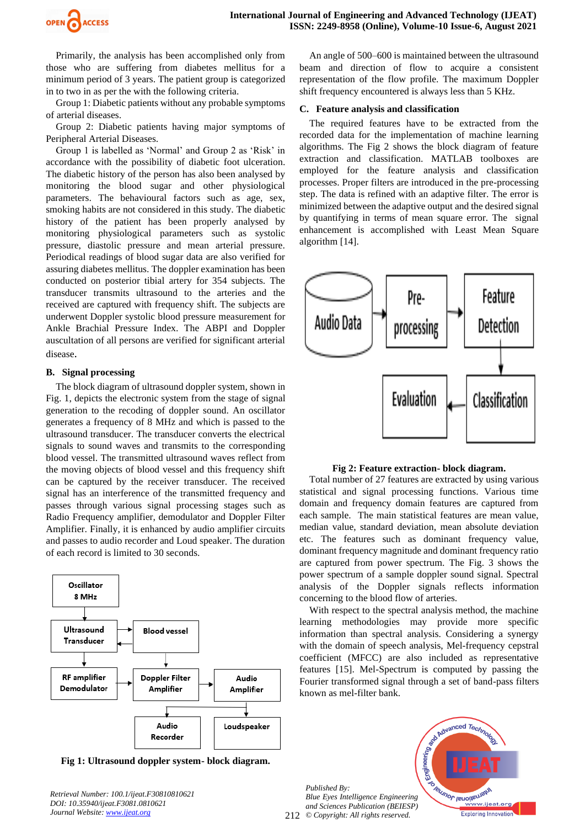

Primarily, the analysis has been accomplished only from those who are suffering from diabetes mellitus for a minimum period of 3 years. The patient group is categorized in to two in as per the with the following criteria.

Group 1: Diabetic patients without any probable symptoms of arterial diseases.

Group 2: Diabetic patients having major symptoms of Peripheral Arterial Diseases.

Group 1 is labelled as 'Normal' and Group 2 as 'Risk' in accordance with the possibility of diabetic foot ulceration. The diabetic history of the person has also been analysed by monitoring the blood sugar and other physiological parameters. The behavioural factors such as age, sex, smoking habits are not considered in this study. The diabetic history of the patient has been properly analysed by monitoring physiological parameters such as systolic pressure, diastolic pressure and mean arterial pressure. Periodical readings of blood sugar data are also verified for assuring diabetes mellitus. The doppler examination has been conducted on posterior tibial artery for 354 subjects. The transducer transmits ultrasound to the arteries and the received are captured with frequency shift. The subjects are underwent Doppler systolic blood pressure measurement for Ankle Brachial Pressure Index. The ABPI and Doppler auscultation of all persons are verified for significant arterial disease.

## **B. Signal processing**

The block diagram of ultrasound doppler system, shown in Fig. 1, depicts the electronic system from the stage of signal generation to the recoding of doppler sound. An oscillator generates a frequency of 8 MHz and which is passed to the ultrasound transducer. The transducer converts the electrical signals to sound waves and transmits to the corresponding blood vessel. The transmitted ultrasound waves reflect from the moving objects of blood vessel and this frequency shift can be captured by the receiver transducer. The received signal has an interference of the transmitted frequency and passes through various signal processing stages such as Radio Frequency amplifier, demodulator and Doppler Filter Amplifier. Finally, it is enhanced by audio amplifier circuits and passes to audio recorder and Loud speaker. The duration of each record is limited to 30 seconds.



**Fig 1: Ultrasound doppler system- block diagram.**

*Retrieval Number: 100.1/ijeat.F30810810621 DOI: 10.35940/ijeat.F3081.0810621 Journal Website: [www.ijeat.org](http://www.ijeat.org/)* 

An angle of 500–600 is maintained between the ultrasound beam and direction of flow to acquire a consistent representation of the flow profile. The maximum Doppler shift frequency encountered is always less than 5 KHz.

#### **C. Feature analysis and classification**

The required features have to be extracted from the recorded data for the implementation of machine learning algorithms. The Fig 2 shows the block diagram of feature extraction and classification. MATLAB toolboxes are employed for the feature analysis and classification processes. Proper filters are introduced in the pre-processing step. The data is refined with an adaptive filter. The error is minimized between the adaptive output and the desired signal by quantifying in terms of mean square error. The signal enhancement is accomplished with Least Mean Square algorithm [14].



#### **Fig 2: Feature extraction- block diagram.**

Total number of 27 features are extracted by using various statistical and signal processing functions. Various time domain and frequency domain features are captured from each sample. The main statistical features are mean value, median value, standard deviation, mean absolute deviation etc. The features such as dominant frequency value, dominant frequency magnitude and dominant frequency ratio are captured from power spectrum. The Fig. 3 shows the power spectrum of a sample doppler sound signal. Spectral analysis of the Doppler signals reflects information concerning to the blood flow of arteries.

With respect to the spectral analysis method, the machine learning methodologies may provide more specific information than spectral analysis. Considering a synergy with the domain of speech analysis, Mel-frequency cepstral coefficient (MFCC) are also included as representative features [15]. Mel-Spectrum is computed by passing the Fourier transformed signal through a set of band-pass filters known as mel-filter bank.

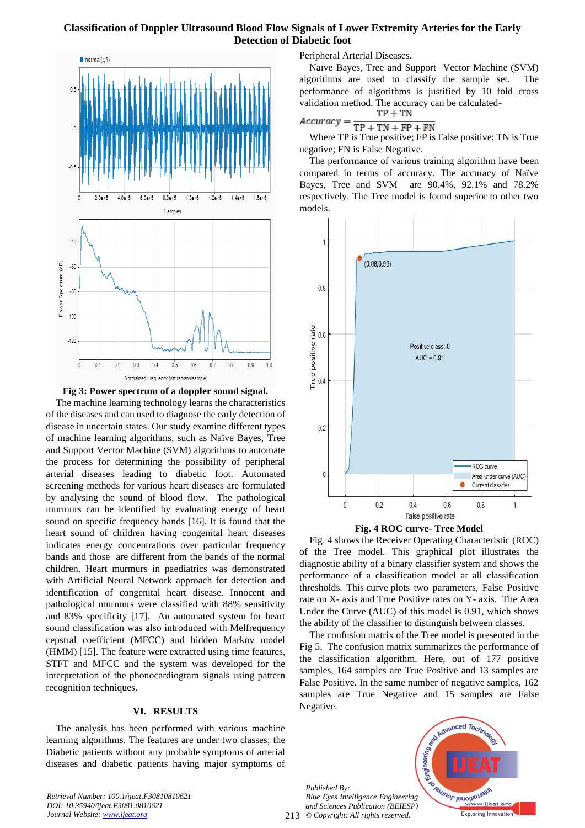# **Classification of Doppler Ultrasound Blood Flow Signals of Lower Extremity Arteries for the Early Detection of Diabetic foot**





The machine learning technology learns the characteristics of the diseases and can used to diagnose the early detection of disease in uncertain states. Our study examine different types of machine learning algorithms, such as Naïve Bayes, Tree and Support Vector Machine (SVM) algorithms to automate the process for determining the possibility of peripheral arterial diseases leading to diabetic foot. Automated screening methods for various heart diseases are formulated by analysing the sound of blood flow. The pathological murmurs can be identified by evaluating energy of heart sound on specific frequency bands [16]. It is found that the heart sound of children having congenital heart diseases indicates energy concentrations over particular frequency bands and those are different from the bands of the normal children. Heart murmurs in paediatrics was demonstrated with Artificial Neural Network approach for detection and identification of congenital heart disease. Innocent and pathological murmurs were classified with 88% sensitivity and 83% specificity [17]. An automated system for heart sound classification was also introduced with Melfrequency cepstral coefficient (MFCC) and hidden Markov model (HMM) [15]. The feature were extracted using time features, STFT and MFCC and the system was developed for the interpretation of the phonocardiogram signals using pattern recognition techniques.

#### **VI. RESULTS**

The analysis has been performed with various machine learning algorithms. The features are under two classes; the Diabetic patients without any probable symptoms of arterial diseases and diabetic patients having major symptoms of

*Retrieval Number: 100.1/ijeat.F30810810621 DOI: 10.35940/ijeat.F3081.0810621 Journal Website[: www.ijeat.org](http://www.ijeat.org/)* 

Peripheral Arterial Diseases.

Naïve Bayes, Tree and Support Vector Machine (SVM) algorithms are used to classify the sample set. The performance of algorithms is justified by 10 fold cross validation method. The accuracy can be calculated-<br> $TP + TN$ 

$$
Accuracy = \frac{11 + 11}{TP + TN + FP + FI}
$$

 $T + T + T + FP + FN$ <br>Where TP is True positive; FP is False positive; TN is True negative; FN is False Negative.

The performance of various training algorithm have been compared in terms of accuracy. The accuracy of Naïve Bayes, Tree and SVM are 90.4%, 92.1% and 78.2% respectively. The Tree model is found superior to other two models.





Fig. 4 shows the Receiver Operating Characteristic (ROC) of the Tree model. This graphical plot illustrates the diagnostic ability of a binary classifier system and shows the performance of a classification model at all classification thresholds. This curve plots two parameters, False Positive rate on X- axis and True Positive rates on Y- axis. The Area Under the Curve (AUC) of this model is 0.91, which shows the ability of the classifier to distinguish between classes.

The confusion matrix of the Tree model is presented in the Fig 5. The confusion matrix summarizes the performance of the classification algorithm. Here, out of 177 positive samples, 164 samples are True Positive and 13 samples are False Positive. In the same number of negative samples, 162 samples are True Negative and 15 samples are False Negative.

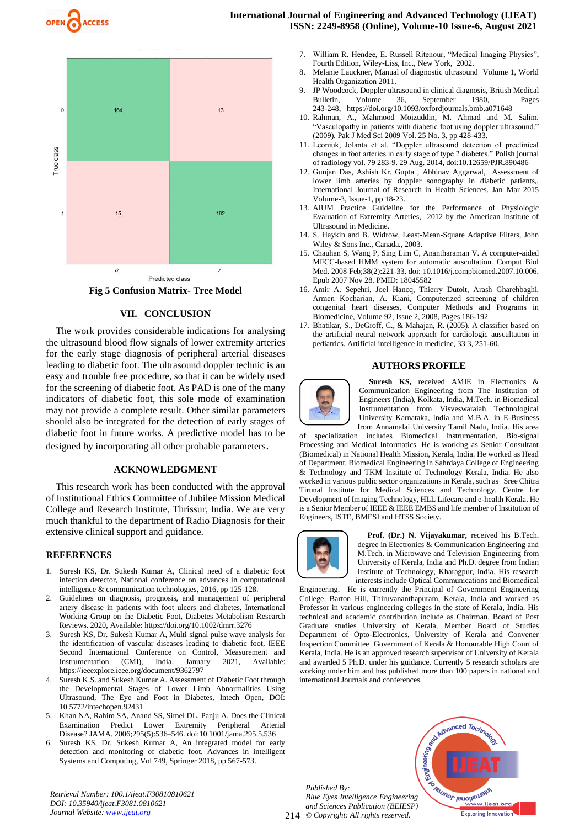



#### **VII. CONCLUSION**

The work provides considerable indications for analysing the ultrasound blood flow signals of lower extremity arteries for the early stage diagnosis of peripheral arterial diseases leading to diabetic foot. The ultrasound doppler technic is an easy and trouble free procedure, so that it can be widely used for the screening of diabetic foot. As PAD is one of the many indicators of diabetic foot, this sole mode of examination may not provide a complete result. Other similar parameters should also be integrated for the detection of early stages of diabetic foot in future works. A predictive model has to be designed by incorporating all other probable parameters.

## **ACKNOWLEDGMENT**

This research work has been conducted with the approval of Institutional Ethics Committee of Jubilee Mission Medical College and Research Institute, Thrissur, India. We are very much thankful to the department of Radio Diagnosis for their extensive clinical support and guidance.

#### **REFERENCES**

- Suresh KS, Dr. Sukesh Kumar A, Clinical need of a diabetic foot infection detector, National conference on advances in computational intelligence & communication technologies, 2016, pp 125-128.
- 2. Guidelines on diagnosis, prognosis, and management of peripheral artery disease in patients with foot ulcers and diabetes, International Working Group on the Diabetic Foot, Diabetes Metabolism Research Reviews. 2020, Available[: https://doi.org/10.1002/dmrr.3276](https://doi.org/10.1002/dmrr.3276)
- Suresh KS, Dr. Sukesh Kumar A, Multi signal pulse wave analysis for the identification of vascular diseases leading to diabetic foot, IEEE Second International Conference on Control, Measurement and Instrumentation (CMI), India, January 2021, Available: <https://ieeexplore.ieee.org/document/9362797>
- Suresh K.S. and Sukesh Kumar A. Assessment of Diabetic Foot through the Developmental Stages of Lower Limb Abnormalities Using Ultrasound, The Eye and Foot in Diabetes, Intech Open, DOI: 10.5772/intechopen.92431
- 5. Khan NA, Rahim SA, Anand SS, Simel DL, Panju A. Does the Clinical Examination Predict Lower Extremity Peripheral Arterial Disease? JAMA. 2006;295(5):536–546. doi:10.1001/jama.295.5.536
- 6. Suresh KS, Dr. Sukesh Kumar A, An integrated model for early detection and monitoring of diabetic foot, Advances in intelligent Systems and Computing, Vol 749, Springer 2018, pp 567-573.

*Retrieval Number: 100.1/ijeat.F30810810621 DOI: 10.35940/ijeat.F3081.0810621 Journal Website: [www.ijeat.org](http://www.ijeat.org/)* 

- 7. William R. Hendee, E. Russell Ritenour, "Medical Imaging Physics", Fourth Edition, Wiley-Liss, Inc., New York, 2002.
- 8. Melanie Lauckner, Manual of diagnostic ultrasound Volume 1, World Health Organization 2011.
- 9. JP Woodcock, Doppler ultrasound in clinical diagnosis, British Medical Bulletin, Volume 36, September 1980, Pages 243-248, <https://doi.org/10.1093/oxfordjournals.bmb.a071648>
- 10. Rahman, A., Mahmood Moizuddin, M. Ahmad and M. Salim. "Vasculopathy in patients with diabetic foot using doppler ultrasound." (2009). Pak J Med Sci 2009 Vol. 25 No. 3, pp 428-433.
- 11. Leoniuk, Jolanta et al. "Doppler ultrasound detection of preclinical changes in foot arteries in early stage of type 2 diabetes." Polish journal of radiology vol. 79 283-9. 29 Aug. 2014, doi:10.12659/PJR.890486
- 12. Gunjan Das, Ashish Kr. Gupta , Abhinav Aggarwal, Assessment of lower limb arteries by doppler sonography in diabetic patients,, International Journal of Research in Health Sciences. Jan–Mar 2015 Volume-3, Issue-1, pp 18-23.
- 13. AIUM Practice Guideline for the Performance of Physiologic Evaluation of Extremity Arteries, 2012 by the American Institute of Ultrasound in Medicine.
- 14. S. Haykin and B. Widrow, Least-Mean-Square Adaptive Filters, John Wiley & Sons Inc., Canada., 2003.
- 15. Chauhan S, Wang P, Sing Lim C, Anantharaman V. A computer-aided MFCC-based HMM system for automatic auscultation. Comput Biol Med. 2008 Feb;38(2):221-33. doi: 10.1016/j.compbiomed.2007.10.006. Epub 2007 Nov 28. PMID: 18045582
- 16. Amir A. Sepehri, Joel Hancq, Thierry Dutoit, Arash Gharehbaghi, Armen Kocharian, A. Kiani, Computerized screening of children congenital heart diseases, Computer Methods and Programs in Biomedicine, Volume 92, Issue 2, 2008, Pages 186-192
- 17. Bhatikar, S., DeGroff, C., & Mahajan, R. (2005). A classifier based on the artificial neural network approach for cardiologic auscultation in pediatrics. Artificial intelligence in medicine, 33 3, 251-60.

#### **AUTHORS PROFILE**



**Suresh KS,** received AMIE in Electronics & Communication Engineering from The Institution of Engineers (India), Kolkata, India, M.Tech. in Biomedical Instrumentation from Visveswaraiah Technological University Karnataka, India and M.B.A. in E-Business from Annamalai University Tamil Nadu, India. His area

specialization includes Biomedical Instrumentation, Bio-signal Processing and Medical Informatics. He is working as Senior Consultant (Biomedical) in National Health Mission, Kerala, India. He worked as Head of Department, Biomedical Engineering in Sahrdaya College of Engineering & Technology and TKM Institute of Technology Kerala, India. He also worked in various public sector organizations in Kerala, such as Sree Chitra Tirunal Institute for Medical Sciences and Technology, Centre for Development of Imaging Technology, HLL Lifecare and e-health Kerala. He is a Senior Member of IEEE & IEEE EMBS and life member of Institution of Engineers, ISTE, BMESI and HTSS Society.



 **Prof. (Dr.) N. Vijayakumar,** received his B.Tech. degree in Electronics & Communication Engineering and M.Tech. in Microwave and Television Engineering from University of Kerala, India and Ph.D. degree from Indian Institute of Technology, Kharagpur, India. His research interests include Optical Communications and Biomedical

Engineering. He is currently the Principal of Government Engineering College, Barton Hill, Thiruvananthapuram, Kerala, India and worked as Professor in various engineering colleges in the state of Kerala, India. His technical and academic contribution include as Chairman, Board of Post Graduate studies University of Kerala, Member Board of Studies Department of Opto-Electronics, University of Kerala and Convener Inspection Committee Government of Kerala & Honourable High Court of Kerala, India. He is an approved research supervisor of University of Kerala and awarded 5 Ph.D. under his guidance. Currently 5 research scholars are working under him and has published more than 100 papers in national and international Journals and conferences.